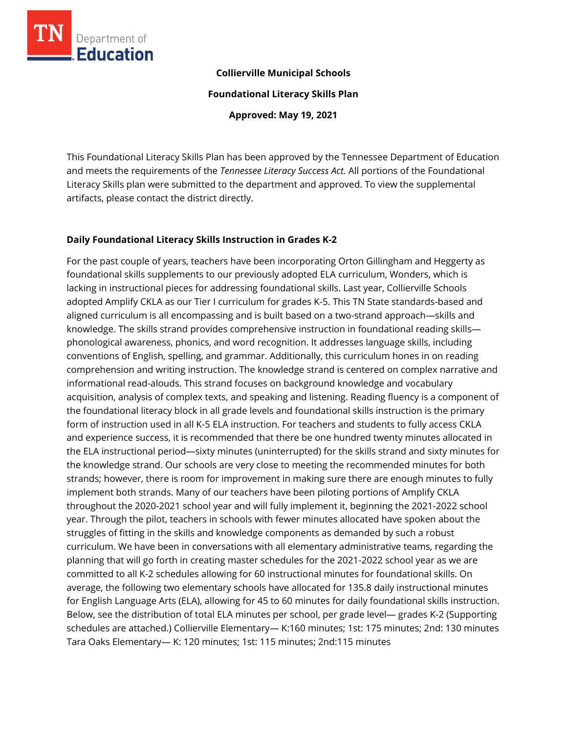

#### **Collierville Municipal Schools**

**Foundational Literacy Skills Plan**

**Approved: May 19, 2021**

This Foundational Literacy Skills Plan has been approved by the Tennessee Department of Education and meets the requirements of the *Tennessee Literacy Success Act.* All portions of the Foundational Literacy Skills plan were submitted to the department and approved. To view the supplemental artifacts, please contact the district directly.

### **Daily Foundational Literacy Skills Instruction in Grades K-2**

For the past couple of years, teachers have been incorporating Orton Gillingham and Heggerty as foundational skills supplements to our previously adopted ELA curriculum, Wonders, which is lacking in instructional pieces for addressing foundational skills. Last year, Collierville Schools adopted Amplify CKLA as our Tier I curriculum for grades K-5. This TN State standards-based and aligned curriculum is all encompassing and is built based on a two-strand approach—skills and knowledge. The skills strand provides comprehensive instruction in foundational reading skills phonological awareness, phonics, and word recognition. It addresses language skills, including conventions of English, spelling, and grammar. Additionally, this curriculum hones in on reading comprehension and writing instruction. The knowledge strand is centered on complex narrative and informational read-alouds. This strand focuses on background knowledge and vocabulary acquisition, analysis of complex texts, and speaking and listening. Reading fluency is a component of the foundational literacy block in all grade levels and foundational skills instruction is the primary form of instruction used in all K-5 ELA instruction. For teachers and students to fully access CKLA and experience success, it is recommended that there be one hundred twenty minutes allocated in the ELA instructional period—sixty minutes (uninterrupted) for the skills strand and sixty minutes for the knowledge strand. Our schools are very close to meeting the recommended minutes for both strands; however, there is room for improvement in making sure there are enough minutes to fully implement both strands. Many of our teachers have been piloting portions of Amplify CKLA throughout the 2020-2021 school year and will fully implement it, beginning the 2021-2022 school year. Through the pilot, teachers in schools with fewer minutes allocated have spoken about the struggles of fitting in the skills and knowledge components as demanded by such a robust curriculum. We have been in conversations with all elementary administrative teams, regarding the planning that will go forth in creating master schedules for the 2021-2022 school year as we are committed to all K-2 schedules allowing for 60 instructional minutes for foundational skills. On average, the following two elementary schools have allocated for 135.8 daily instructional minutes for English Language Arts (ELA), allowing for 45 to 60 minutes for daily foundational skills instruction. Below, see the distribution of total ELA minutes per school, per grade level— grades K-2 (Supporting schedules are attached.) Collierville Elementary— K:160 minutes; 1st: 175 minutes; 2nd: 130 minutes Tara Oaks Elementary— K: 120 minutes; 1st: 115 minutes; 2nd:115 minutes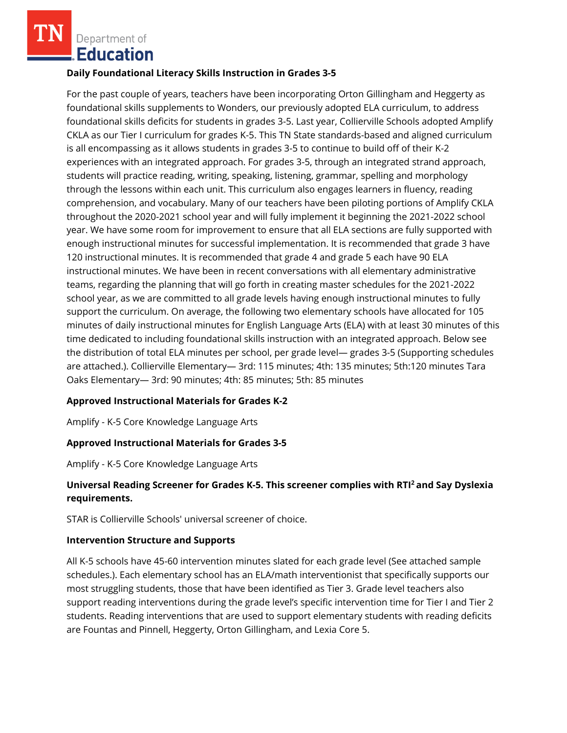Department of **Education** 

#### **Daily Foundational Literacy Skills Instruction in Grades 3-5**

For the past couple of years, teachers have been incorporating Orton Gillingham and Heggerty as foundational skills supplements to Wonders, our previously adopted ELA curriculum, to address foundational skills deficits for students in grades 3-5. Last year, Collierville Schools adopted Amplify CKLA as our Tier I curriculum for grades K-5. This TN State standards-based and aligned curriculum is all encompassing as it allows students in grades 3-5 to continue to build off of their K-2 experiences with an integrated approach. For grades 3-5, through an integrated strand approach, students will practice reading, writing, speaking, listening, grammar, spelling and morphology through the lessons within each unit. This curriculum also engages learners in fluency, reading comprehension, and vocabulary. Many of our teachers have been piloting portions of Amplify CKLA throughout the 2020-2021 school year and will fully implement it beginning the 2021-2022 school year. We have some room for improvement to ensure that all ELA sections are fully supported with enough instructional minutes for successful implementation. It is recommended that grade 3 have 120 instructional minutes. It is recommended that grade 4 and grade 5 each have 90 ELA instructional minutes. We have been in recent conversations with all elementary administrative teams, regarding the planning that will go forth in creating master schedules for the 2021-2022 school year, as we are committed to all grade levels having enough instructional minutes to fully support the curriculum. On average, the following two elementary schools have allocated for 105 minutes of daily instructional minutes for English Language Arts (ELA) with at least 30 minutes of this time dedicated to including foundational skills instruction with an integrated approach. Below see the distribution of total ELA minutes per school, per grade level— grades 3-5 (Supporting schedules are attached.). Collierville Elementary— 3rd: 115 minutes; 4th: 135 minutes; 5th:120 minutes Tara Oaks Elementary— 3rd: 90 minutes; 4th: 85 minutes; 5th: 85 minutes

### **Approved Instructional Materials for Grades K-2**

Amplify - K-5 Core Knowledge Language Arts

### **Approved Instructional Materials for Grades 3-5**

Amplify - K-5 Core Knowledge Language Arts

## **Universal Reading Screener for Grades K-5. This screener complies with RTI<sup>2</sup>and Say Dyslexia requirements.**

STAR is Collierville Schools' universal screener of choice.

#### **Intervention Structure and Supports**

All K-5 schools have 45-60 intervention minutes slated for each grade level (See attached sample schedules.). Each elementary school has an ELA/math interventionist that specifically supports our most struggling students, those that have been identified as Tier 3. Grade level teachers also support reading interventions during the grade level's specific intervention time for Tier I and Tier 2 students. Reading interventions that are used to support elementary students with reading deficits are Fountas and Pinnell, Heggerty, Orton Gillingham, and Lexia Core 5.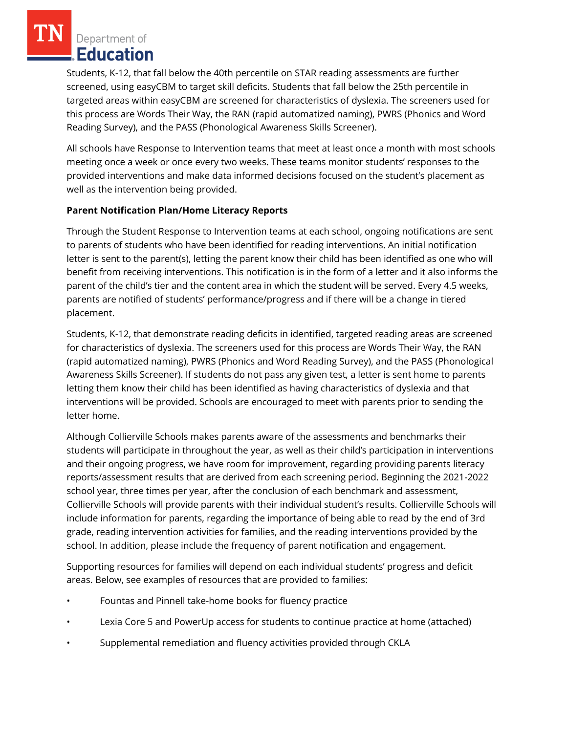Department of Education

Students, K-12, that fall below the 40th percentile on STAR reading assessments are further screened, using easyCBM to target skill deficits. Students that fall below the 25th percentile in targeted areas within easyCBM are screened for characteristics of dyslexia. The screeners used for this process are Words Their Way, the RAN (rapid automatized naming), PWRS (Phonics and Word Reading Survey), and the PASS (Phonological Awareness Skills Screener).

All schools have Response to Intervention teams that meet at least once a month with most schools meeting once a week or once every two weeks. These teams monitor students' responses to the provided interventions and make data informed decisions focused on the student's placement as well as the intervention being provided.

## **Parent Notification Plan/Home Literacy Reports**

Through the Student Response to Intervention teams at each school, ongoing notifications are sent to parents of students who have been identified for reading interventions. An initial notification letter is sent to the parent(s), letting the parent know their child has been identified as one who will benefit from receiving interventions. This notification is in the form of a letter and it also informs the parent of the child's tier and the content area in which the student will be served. Every 4.5 weeks, parents are notified of students' performance/progress and if there will be a change in tiered placement.

Students, K-12, that demonstrate reading deficits in identified, targeted reading areas are screened for characteristics of dyslexia. The screeners used for this process are Words Their Way, the RAN (rapid automatized naming), PWRS (Phonics and Word Reading Survey), and the PASS (Phonological Awareness Skills Screener). If students do not pass any given test, a letter is sent home to parents letting them know their child has been identified as having characteristics of dyslexia and that interventions will be provided. Schools are encouraged to meet with parents prior to sending the letter home.

Although Collierville Schools makes parents aware of the assessments and benchmarks their students will participate in throughout the year, as well as their child's participation in interventions and their ongoing progress, we have room for improvement, regarding providing parents literacy reports/assessment results that are derived from each screening period. Beginning the 2021-2022 school year, three times per year, after the conclusion of each benchmark and assessment, Collierville Schools will provide parents with their individual student's results. Collierville Schools will include information for parents, regarding the importance of being able to read by the end of 3rd grade, reading intervention activities for families, and the reading interventions provided by the school. In addition, please include the frequency of parent notification and engagement.

Supporting resources for families will depend on each individual students' progress and deficit areas. Below, see examples of resources that are provided to families:

- Fountas and Pinnell take-home books for fluency practice
- Lexia Core 5 and PowerUp access for students to continue practice at home (attached)
- Supplemental remediation and fluency activities provided through CKLA